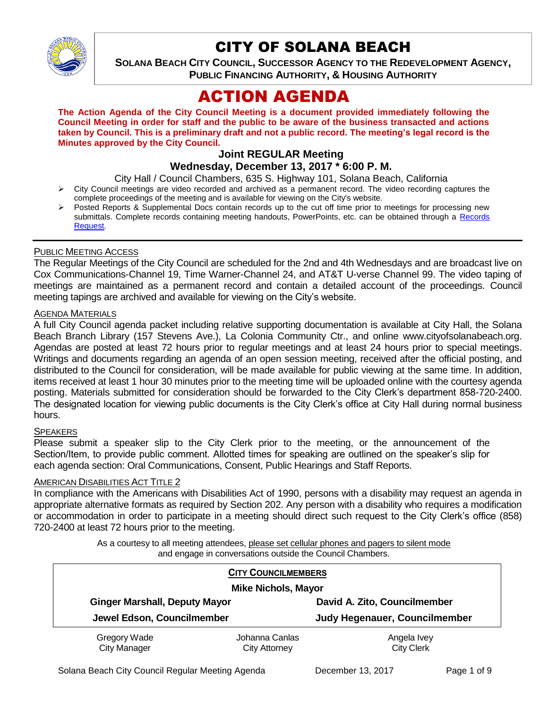

# CITY OF SOLANA BEACH

**SOLANA BEACH CITY COUNCIL, SUCCESSOR AGENCY TO THE REDEVELOPMENT AGENCY, PUBLIC FINANCING AUTHORITY, & HOUSING AUTHORITY** 

# ACTION AGENDA

**The Action Agenda of the City Council Meeting is a document provided immediately following the Council Meeting in order for staff and the public to be aware of the business transacted and actions taken by Council. This is a preliminary draft and not a public record. The meeting's legal record is the Minutes approved by the City Council.**

# **Joint REGULAR Meeting**

# **Wednesday, December 13, 2017 \* 6:00 P. M.**

City Hall / Council Chambers, 635 S. Highway 101, Solana Beach, California

- $\triangleright$  City Council meetings are video recorded and archived as a permanent record. The video recording captures the complete proceedings of the meeting and is available for viewing on the City's website.
- Posted Reports & Supplemental Docs contain records up to the cut off time prior to meetings for processing new submittals. Complete records containing meeting handouts, PowerPoints, etc. can be obtained through a Records [Request.](http://www.ci.solana-beach.ca.us/index.asp?SEC=F5D45D10-70CE-4291-A27C-7BD633FC6742&Type=B_BASIC)

#### PUBLIC MEETING ACCESS

The Regular Meetings of the City Council are scheduled for the 2nd and 4th Wednesdays and are broadcast live on Cox Communications-Channel 19, Time Warner-Channel 24, and AT&T U-verse Channel 99. The video taping of meetings are maintained as a permanent record and contain a detailed account of the proceedings. Council meeting tapings are archived and available for viewing on the City's website.

#### AGENDA MATERIALS

A full City Council agenda packet including relative supporting documentation is available at City Hall, the Solana Beach Branch Library (157 Stevens Ave.), La Colonia Community Ctr., and online www.cityofsolanabeach.org. Agendas are posted at least 72 hours prior to regular meetings and at least 24 hours prior to special meetings. Writings and documents regarding an agenda of an open session meeting, received after the official posting, and distributed to the Council for consideration, will be made available for public viewing at the same time. In addition, items received at least 1 hour 30 minutes prior to the meeting time will be uploaded online with the courtesy agenda posting. Materials submitted for consideration should be forwarded to the City Clerk's department 858-720-2400. The designated location for viewing public documents is the City Clerk's office at City Hall during normal business hours.

#### **SPEAKERS**

Please submit a speaker slip to the City Clerk prior to the meeting, or the announcement of the Section/Item, to provide public comment. Allotted times for speaking are outlined on the speaker's slip for each agenda section: Oral Communications, Consent, Public Hearings and Staff Reports.

#### **AMERICAN DISABILITIES ACT TITLE 2**

In compliance with the Americans with Disabilities Act of 1990, persons with a disability may request an agenda in appropriate alternative formats as required by Section 202. Any person with a disability who requires a modification or accommodation in order to participate in a meeting should direct such request to the City Clerk's office (858) 720-2400 at least 72 hours prior to the meeting.

> As a courtesy to all meeting attendees, please set cellular phones and pagers to silent mode and engage in conversations outside the Council Chambers.

| <b>CITY COUNCILMEMBERS</b><br><b>Mike Nichols, Mayor</b> |                      |                               |  |
|----------------------------------------------------------|----------------------|-------------------------------|--|
| <b>Ginger Marshall, Deputy Mayor</b>                     |                      | David A. Zito, Councilmember  |  |
| Jewel Edson, Councilmember                               |                      | Judy Hegenauer, Councilmember |  |
| Gregory Wade                                             | Johanna Canlas       | Angela Ivey                   |  |
| <b>City Manager</b>                                      | <b>City Attorney</b> | <b>City Clerk</b>             |  |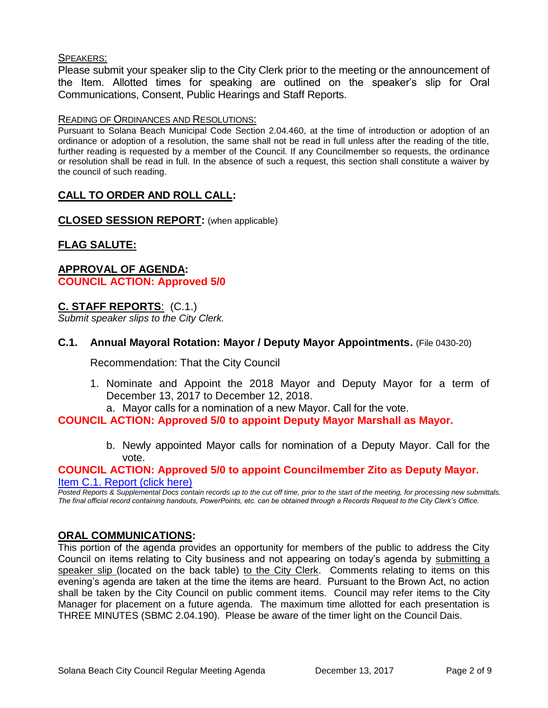#### SPEAKERS:

Please submit your speaker slip to the City Clerk prior to the meeting or the announcement of the Item. Allotted times for speaking are outlined on the speaker's slip for Oral Communications, Consent, Public Hearings and Staff Reports.

#### READING OF ORDINANCES AND RESOLUTIONS:

Pursuant to Solana Beach Municipal Code Section 2.04.460, at the time of introduction or adoption of an ordinance or adoption of a resolution, the same shall not be read in full unless after the reading of the title, further reading is requested by a member of the Council. If any Councilmember so requests, the ordinance or resolution shall be read in full. In the absence of such a request, this section shall constitute a waiver by the council of such reading.

# **CALL TO ORDER AND ROLL CALL:**

**CLOSED SESSION REPORT:** (when applicable)

# **FLAG SALUTE:**

**APPROVAL OF AGENDA: COUNCIL ACTION: Approved 5/0**

# **C. STAFF REPORTS**: (C.1.)

*Submit speaker slips to the City Clerk.*

## **C.1. Annual Mayoral Rotation: Mayor / Deputy Mayor Appointments.** (File 0430-20)

Recommendation: That the City Council

- 1. Nominate and Appoint the 2018 Mayor and Deputy Mayor for a term of December 13, 2017 to December 12, 2018.
	- a. Mayor calls for a nomination of a new Mayor. Call for the vote.

#### **COUNCIL ACTION: Approved 5/0 to appoint Deputy Mayor Marshall as Mayor.**

b. Newly appointed Mayor calls for nomination of a Deputy Mayor. Call for the vote.

#### **COUNCIL ACTION: Approved 5/0 to appoint Councilmember Zito as Deputy Mayor.** [Item C.1. Report \(click here\)](https://solanabeach.govoffice3.com/vertical/Sites/%7B840804C2-F869-4904-9AE3-720581350CE7%7D/uploads/Item_C.1._Report_(click_here)_-_12-13-17.pdf)

*Posted Reports & Supplemental Docs contain records up to the cut off time, prior to the start of the meeting, for processing new submittals. The final official record containing handouts, PowerPoints, etc. can be obtained through a Records Request to the City Clerk's Office.*

#### **ORAL COMMUNICATIONS:**

This portion of the agenda provides an opportunity for members of the public to address the City Council on items relating to City business and not appearing on today's agenda by submitting a speaker slip (located on the back table) to the City Clerk. Comments relating to items on this evening's agenda are taken at the time the items are heard. Pursuant to the Brown Act, no action shall be taken by the City Council on public comment items. Council may refer items to the City Manager for placement on a future agenda. The maximum time allotted for each presentation is THREE MINUTES (SBMC 2.04.190). Please be aware of the timer light on the Council Dais.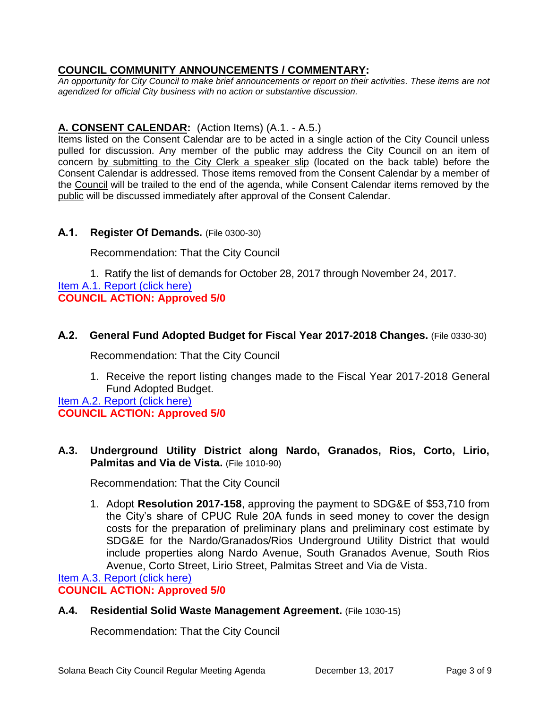# **COUNCIL COMMUNITY ANNOUNCEMENTS / COMMENTARY:**

*An opportunity for City Council to make brief announcements or report on their activities. These items are not agendized for official City business with no action or substantive discussion.* 

# **A. CONSENT CALENDAR:** (Action Items) (A.1. - A.5.)

Items listed on the Consent Calendar are to be acted in a single action of the City Council unless pulled for discussion. Any member of the public may address the City Council on an item of concern by submitting to the City Clerk a speaker slip (located on the back table) before the Consent Calendar is addressed. Those items removed from the Consent Calendar by a member of the Council will be trailed to the end of the agenda, while Consent Calendar items removed by the public will be discussed immediately after approval of the Consent Calendar.

# **A.1. Register Of Demands.** (File 0300-30)

Recommendation: That the City Council

1. Ratify the list of demands for October 28, 2017 through November 24, 2017. [Item A.1. Report \(click here\)](https://solanabeach.govoffice3.com/vertical/Sites/%7B840804C2-F869-4904-9AE3-720581350CE7%7D/uploads/Item_A.1._Report_(click_here)_-_12-13-17.pdf) **COUNCIL ACTION: Approved 5/0**

# **A.2. General Fund Adopted Budget for Fiscal Year 2017-2018 Changes.** (File 0330-30)

Recommendation: That the City Council

1. Receive the report listing changes made to the Fiscal Year 2017-2018 General Fund Adopted Budget.

[Item A.2. Report \(click here\)](https://solanabeach.govoffice3.com/vertical/Sites/%7B840804C2-F869-4904-9AE3-720581350CE7%7D/uploads/Item_A.2._Report_(click_here)_-_12-13-17.pdf) **COUNCIL ACTION: Approved 5/0**

**A.3. Underground Utility District along Nardo, Granados, Rios, Corto, Lirio, Palmitas and Via de Vista.** (File 1010-90)

Recommendation: That the City Council

1. Adopt **Resolution 2017-158**, approving the payment to SDG&E of \$53,710 from the City's share of CPUC Rule 20A funds in seed money to cover the design costs for the preparation of preliminary plans and preliminary cost estimate by SDG&E for the Nardo/Granados/Rios Underground Utility District that would include properties along Nardo Avenue, South Granados Avenue, South Rios Avenue, Corto Street, Lirio Street, Palmitas Street and Via de Vista.

[Item A.3. Report \(click here\)](https://solanabeach.govoffice3.com/vertical/Sites/%7B840804C2-F869-4904-9AE3-720581350CE7%7D/uploads/Item_A.3._Report_(click_here)_-_12-13-17.pdf) **COUNCIL ACTION: Approved 5/0**

# **A.4. Residential Solid Waste Management Agreement.** (File 1030-15)

Recommendation: That the City Council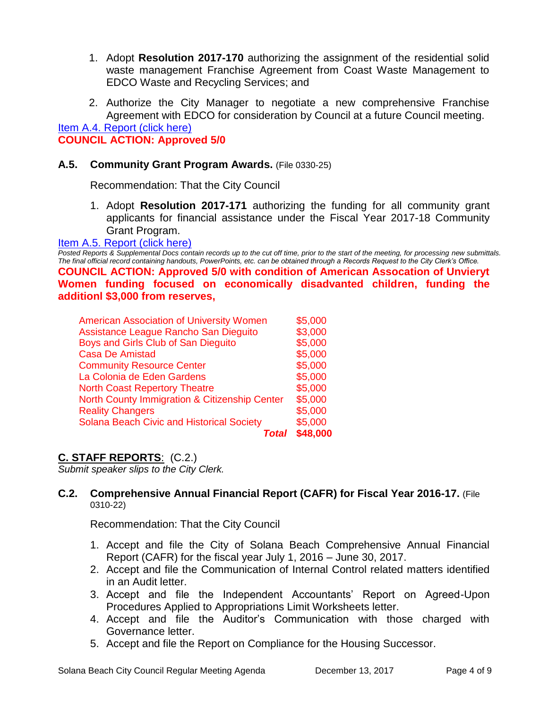- 1. Adopt **Resolution 2017-170** authorizing the assignment of the residential solid waste management Franchise Agreement from Coast Waste Management to EDCO Waste and Recycling Services; and
- 2. Authorize the City Manager to negotiate a new comprehensive Franchise Agreement with EDCO for consideration by Council at a future Council meeting.

#### [Item A.4. Report \(click here\)](https://solanabeach.govoffice3.com/vertical/Sites/%7B840804C2-F869-4904-9AE3-720581350CE7%7D/uploads/Item_A.4._Report_(click_here)_-_12-13-17.pdf) **COUNCIL ACTION: Approved 5/0**

## **A.5. Community Grant Program Awards.** (File 0330-25)

Recommendation: That the City Council

1. Adopt **Resolution 2017-171** authorizing the funding for all community grant applicants for financial assistance under the Fiscal Year 2017-18 Community Grant Program.

#### [Item A.5. Report \(click here\)](https://solanabeach.govoffice3.com/vertical/Sites/%7B840804C2-F869-4904-9AE3-720581350CE7%7D/uploads/Item_A.5._Report_(click_here)_-_12-13-17.PDF)

*Posted Reports & Supplemental Docs contain records up to the cut off time, prior to the start of the meeting, for processing new submittals. The final official record containing handouts, PowerPoints, etc. can be obtained through a Records Request to the City Clerk's Office.* **COUNCIL ACTION: Approved 5/0 with condition of American Assocation of Unvieryt Women funding focused on economically disadvanted children, funding the additionl \$3,000 from reserves,** 

| <b>American Association of University Women</b>  | \$5,000  |
|--------------------------------------------------|----------|
| Assistance League Rancho San Dieguito            | \$3,000  |
| Boys and Girls Club of San Dieguito              | \$5,000  |
| <b>Casa De Amistad</b>                           | \$5,000  |
| <b>Community Resource Center</b>                 | \$5,000  |
| La Colonia de Eden Gardens                       | \$5,000  |
| <b>North Coast Repertory Theatre</b>             | \$5,000  |
| North County Immigration & Citizenship Center    | \$5,000  |
| <b>Reality Changers</b>                          | \$5,000  |
| <b>Solana Beach Civic and Historical Society</b> | \$5,000  |
| Total                                            | \$48,000 |

# **C. STAFF REPORTS**: (C.2.)

*Submit speaker slips to the City Clerk.*

#### **C.2. Comprehensive Annual Financial Report (CAFR) for Fiscal Year 2016-17.** (File 0310-22)

Recommendation: That the City Council

- 1. Accept and file the City of Solana Beach Comprehensive Annual Financial Report (CAFR) for the fiscal year July 1, 2016 – June 30, 2017.
- 2. Accept and file the Communication of Internal Control related matters identified in an Audit letter.
- 3. Accept and file the Independent Accountants' Report on Agreed-Upon Procedures Applied to Appropriations Limit Worksheets letter.
- 4. Accept and file the Auditor's Communication with those charged with Governance letter.
- 5. Accept and file the Report on Compliance for the Housing Successor.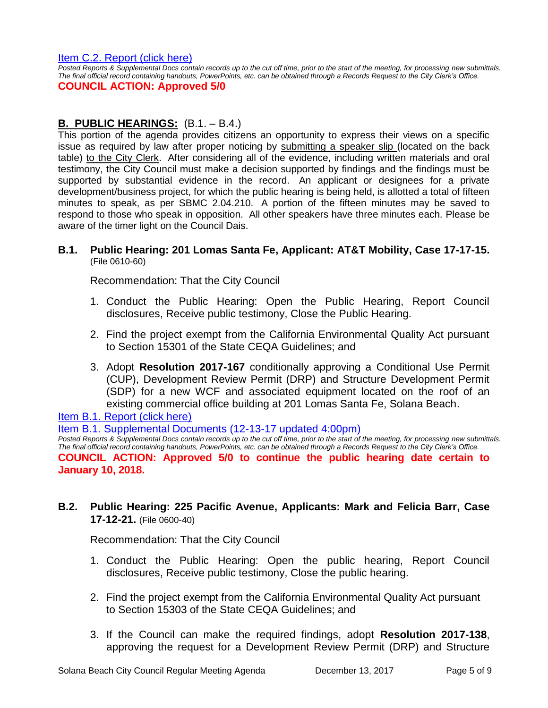[Item C.2. Report \(click here\)](https://solanabeach.govoffice3.com/vertical/Sites/%7B840804C2-F869-4904-9AE3-720581350CE7%7D/uploads/Item_C.2._Report_(click_here)_-_12-13-17.pdf) 

*Posted Reports & Supplemental Docs contain records up to the cut off time, prior to the start of the meeting, for processing new submittals. The final official record containing handouts, PowerPoints, etc. can be obtained through a Records Request to the City Clerk's Office.*

## **COUNCIL ACTION: Approved 5/0**

# **B. PUBLIC HEARINGS:** (B.1. – B.4.)

This portion of the agenda provides citizens an opportunity to express their views on a specific issue as required by law after proper noticing by submitting a speaker slip (located on the back table) to the City Clerk. After considering all of the evidence, including written materials and oral testimony, the City Council must make a decision supported by findings and the findings must be supported by substantial evidence in the record. An applicant or designees for a private development/business project, for which the public hearing is being held, is allotted a total of fifteen minutes to speak, as per SBMC 2.04.210. A portion of the fifteen minutes may be saved to respond to those who speak in opposition. All other speakers have three minutes each. Please be aware of the timer light on the Council Dais.

#### **B.1. Public Hearing: 201 Lomas Santa Fe, Applicant: AT&T Mobility, Case 17-17-15.** (File 0610-60)

Recommendation: That the City Council

- 1. Conduct the Public Hearing: Open the Public Hearing, Report Council disclosures, Receive public testimony, Close the Public Hearing.
- 2. Find the project exempt from the California Environmental Quality Act pursuant to Section 15301 of the State CEQA Guidelines; and
- 3. Adopt **Resolution 2017-167** conditionally approving a Conditional Use Permit (CUP), Development Review Permit (DRP) and Structure Development Permit (SDP) for a new WCF and associated equipment located on the roof of an existing commercial office building at 201 Lomas Santa Fe, Solana Beach.

[Item B.1. Report \(click here\)](https://solanabeach.govoffice3.com/vertical/Sites/%7B840804C2-F869-4904-9AE3-720581350CE7%7D/uploads/Item_B.1._Report_(click_here)_-_12-13-17.pdf)

[Item B.1. Supplemental Documents \(12-13-17](https://solanabeach.govoffice3.com/vertical/Sites/%7B840804C2-F869-4904-9AE3-720581350CE7%7D/uploads/B.1._Supplemental_Documents_(12-13-17_updated_400pm)_-_R.pdf) updated 4:00pm)

*Posted Reports & Supplemental Docs contain records up to the cut off time, prior to the start of the meeting, for processing new submittals. The final official record containing handouts, PowerPoints, etc. can be obtained through a Records Request to the City Clerk's Office.* **COUNCIL ACTION: Approved 5/0 to continue the public hearing date certain to January 10, 2018.**

# **B.2. Public Hearing: 225 Pacific Avenue, Applicants: Mark and Felicia Barr, Case 17-12-21.** (File 0600-40)

Recommendation: That the City Council

- 1. Conduct the Public Hearing: Open the public hearing, Report Council disclosures, Receive public testimony, Close the public hearing.
- 2. Find the project exempt from the California Environmental Quality Act pursuant to Section 15303 of the State CEQA Guidelines; and
- 3. If the Council can make the required findings, adopt **Resolution 2017-138**, approving the request for a Development Review Permit (DRP) and Structure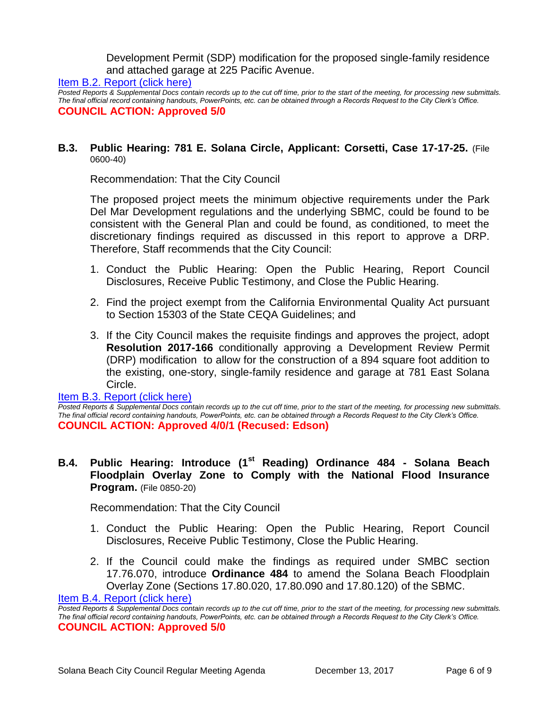Development Permit (SDP) modification for the proposed single-family residence and attached garage at 225 Pacific Avenue.

[Item B.2. Report \(click here\)](https://solanabeach.govoffice3.com/vertical/Sites/%7B840804C2-F869-4904-9AE3-720581350CE7%7D/uploads/Item_B.2._Report_(click_here)_-_12-13-17.pdf)

*Posted Reports & Supplemental Docs contain records up to the cut off time, prior to the start of the meeting, for processing new submittals. The final official record containing handouts, PowerPoints, etc. can be obtained through a Records Request to the City Clerk's Office.* **COUNCIL ACTION: Approved 5/0**

#### **B.3. Public Hearing: 781 E. Solana Circle, Applicant: Corsetti, Case 17-17-25.** (File 0600-40)

Recommendation: That the City Council

The proposed project meets the minimum objective requirements under the Park Del Mar Development regulations and the underlying SBMC, could be found to be consistent with the General Plan and could be found, as conditioned, to meet the discretionary findings required as discussed in this report to approve a DRP. Therefore, Staff recommends that the City Council:

- 1. Conduct the Public Hearing: Open the Public Hearing, Report Council Disclosures, Receive Public Testimony, and Close the Public Hearing.
- 2. Find the project exempt from the California Environmental Quality Act pursuant to Section 15303 of the State CEQA Guidelines; and
- 3. If the City Council makes the requisite findings and approves the project, adopt **Resolution 2017-166** conditionally approving a Development Review Permit (DRP) modification to allow for the construction of a 894 square foot addition to the existing, one-story, single-family residence and garage at 781 East Solana Circle.

#### [Item B.3. Report \(click here\)](https://solanabeach.govoffice3.com/vertical/Sites/%7B840804C2-F869-4904-9AE3-720581350CE7%7D/uploads/Item_B.3._Report_(click_here)_-_12-13-17.pdf)

*Posted Reports & Supplemental Docs contain records up to the cut off time, prior to the start of the meeting, for processing new submittals. The final official record containing handouts, PowerPoints, etc. can be obtained through a Records Request to the City Clerk's Office.* **COUNCIL ACTION: Approved 4/0/1 (Recused: Edson)**

### **B.4. Public Hearing: Introduce (1st Reading) Ordinance 484 - Solana Beach Floodplain Overlay Zone to Comply with the National Flood Insurance Program.** (File 0850-20)

Recommendation: That the City Council

- 1. Conduct the Public Hearing: Open the Public Hearing, Report Council Disclosures, Receive Public Testimony, Close the Public Hearing.
- 2. If the Council could make the findings as required under SMBC section 17.76.070, introduce **Ordinance 484** to amend the Solana Beach Floodplain Overlay Zone (Sections 17.80.020, 17.80.090 and 17.80.120) of the SBMC.

[Item B.4. Report \(click here\)](https://solanabeach.govoffice3.com/vertical/Sites/%7B840804C2-F869-4904-9AE3-720581350CE7%7D/uploads/Item_B.4._Report_(click_here)_-_12-13-17.pdf)

**Posted Reports & Supplemental Docs contain records up to the cut off time, prior to the start of the meeting, for processing new submittals.** *The final official record containing handouts, PowerPoints, etc. can be obtained through a Records Request to the City Clerk's Office.* **COUNCIL ACTION: Approved 5/0**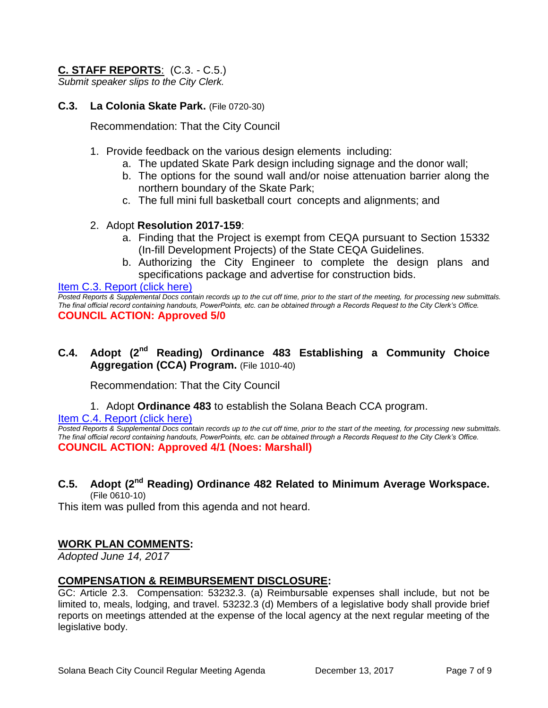# **C. STAFF REPORTS**: (C.3. - C.5.)

*Submit speaker slips to the City Clerk.*

## **C.3. La Colonia Skate Park.** (File 0720-30)

Recommendation: That the City Council

- 1. Provide feedback on the various design elements including:
	- a. The updated Skate Park design including signage and the donor wall;
	- b. The options for the sound wall and/or noise attenuation barrier along the northern boundary of the Skate Park;
	- c. The full mini full basketball court concepts and alignments; and

## 2. Adopt **Resolution 2017-159**:

- a. Finding that the Project is exempt from CEQA pursuant to Section 15332 (In-fill Development Projects) of the State CEQA Guidelines.
- b. Authorizing the City Engineer to complete the design plans and specifications package and advertise for construction bids.

#### [Item C.3. Report \(click here\)](https://solanabeach.govoffice3.com/vertical/Sites/%7B840804C2-F869-4904-9AE3-720581350CE7%7D/uploads/Item_C.3._Report_(click_here)_-_12-13-17.pdf)

*Posted Reports & Supplemental Docs contain records up to the cut off time, prior to the start of the meeting, for processing new submittals. The final official record containing handouts, PowerPoints, etc. can be obtained through a Records Request to the City Clerk's Office.* **COUNCIL ACTION: Approved 5/0**

# **C.4. Adopt (2nd Reading) Ordinance 483 Establishing a Community Choice Aggregation (CCA) Program.** (File 1010-40)

Recommendation: That the City Council

1. Adopt **Ordinance 483** to establish the Solana Beach CCA program.

[Item C.4. Report \(click here\)](https://solanabeach.govoffice3.com/vertical/Sites/%7B840804C2-F869-4904-9AE3-720581350CE7%7D/uploads/Item_C.4._Report_(click_here)_-_12-13-17.pdf)

*Posted Reports & Supplemental Docs contain records up to the cut off time, prior to the start of the meeting, for processing new submittals. The final official record containing handouts, PowerPoints, etc. can be obtained through a Records Request to the City Clerk's Office.* **COUNCIL ACTION: Approved 4/1 (Noes: Marshall)**

#### **C.5. Adopt (2nd Reading) Ordinance 482 Related to Minimum Average Workspace.** (File 0610-10)

This item was pulled from this agenda and not heard.

# **WORK PLAN COMMENTS:**

*Adopted June 14, 2017*

#### **COMPENSATION & REIMBURSEMENT DISCLOSURE:**

GC: Article 2.3. Compensation: 53232.3. (a) Reimbursable expenses shall include, but not be limited to, meals, lodging, and travel. 53232.3 (d) Members of a legislative body shall provide brief reports on meetings attended at the expense of the local agency at the next regular meeting of the legislative body.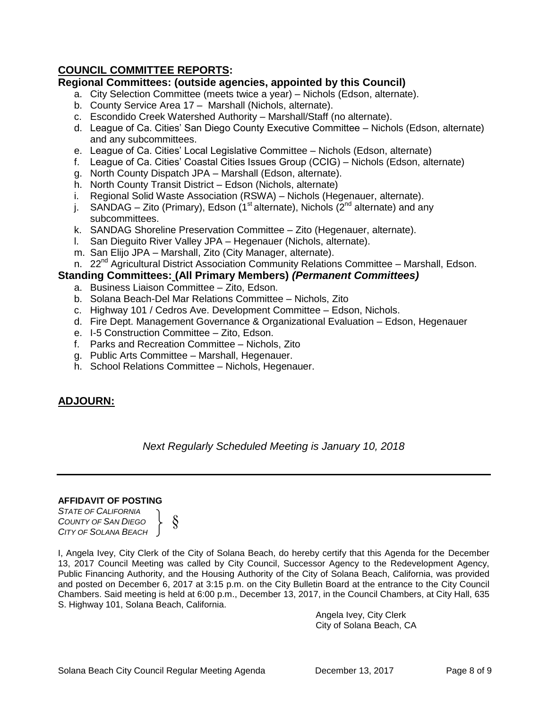# **COUNCIL COMMITTEE REPORTS:**

## **Regional Committees: (outside agencies, appointed by this Council)**

- a. City Selection Committee (meets twice a year) Nichols (Edson, alternate).
- b. County Service Area 17 Marshall (Nichols, alternate).
- c. Escondido Creek Watershed Authority Marshall/Staff (no alternate).
- d. League of Ca. Cities' San Diego County Executive Committee Nichols (Edson, alternate) and any subcommittees.
- e. League of Ca. Cities' Local Legislative Committee Nichols (Edson, alternate)
- f. League of Ca. Cities' Coastal Cities Issues Group (CCIG) Nichols (Edson, alternate)
- g. North County Dispatch JPA Marshall (Edson, alternate).
- h. North County Transit District Edson (Nichols, alternate)
- i. Regional Solid Waste Association (RSWA) Nichols (Hegenauer, alternate).
- j. SANDAG Zito (Primary), Edson (1<sup>st</sup> alternate), Nichols ( $2<sup>nd</sup>$  alternate) and any subcommittees.
- k. SANDAG Shoreline Preservation Committee Zito (Hegenauer, alternate).
- l. San Dieguito River Valley JPA Hegenauer (Nichols, alternate).
- m. San Elijo JPA Marshall, Zito (City Manager, alternate).
- n. 22<sup>nd</sup> Agricultural District Association Community Relations Committee Marshall, Edson.

## **Standing Committees: (All Primary Members)** *(Permanent Committees)*

- a. Business Liaison Committee Zito, Edson.
- b. Solana Beach-Del Mar Relations Committee Nichols, Zito
- c. Highway 101 / Cedros Ave. Development Committee Edson, Nichols.
- d. Fire Dept. Management Governance & Organizational Evaluation Edson, Hegenauer
- e. I-5 Construction Committee Zito, Edson.
- f. Parks and Recreation Committee Nichols, Zito
- g. Public Arts Committee Marshall, Hegenauer.
- h. School Relations Committee Nichols, Hegenauer.

# **ADJOURN:**

*Next Regularly Scheduled Meeting is January 10, 2018*

#### **AFFIDAVIT OF POSTING**

*STATE OF CALIFORNIA COUNTY OF SAN DIEGO CITY OF SOLANA BEACH*

§

I, Angela Ivey, City Clerk of the City of Solana Beach, do hereby certify that this Agenda for the December 13, 2017 Council Meeting was called by City Council, Successor Agency to the Redevelopment Agency, Public Financing Authority, and the Housing Authority of the City of Solana Beach, California, was provided and posted on December 6, 2017 at 3:15 p.m. on the City Bulletin Board at the entrance to the City Council Chambers. Said meeting is held at 6:00 p.m., December 13, 2017, in the Council Chambers, at City Hall, 635 S. Highway 101, Solana Beach, California.

> Angela Ivey, City Clerk City of Solana Beach, CA